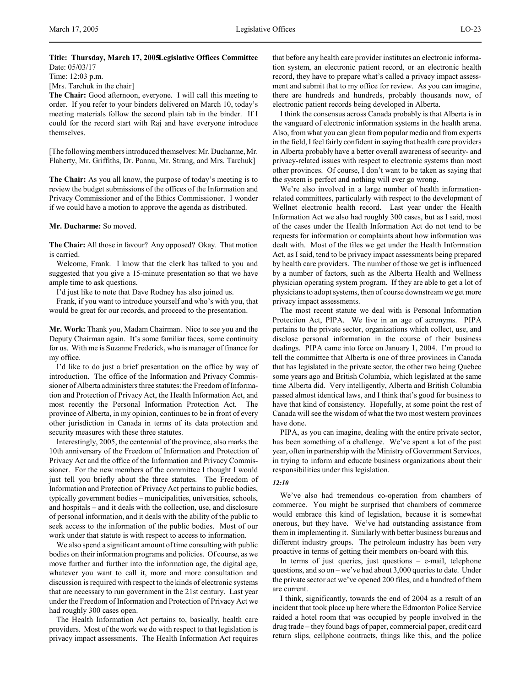Time: 12:03 p.m.

[Mrs. Tarchuk in the chair]

**The Chair:** Good afternoon, everyone. I will call this meeting to order. If you refer to your binders delivered on March 10, today's meeting materials follow the second plain tab in the binder. If I could for the record start with Raj and have everyone introduce themselves.

[The following members introduced themselves: Mr. Ducharme, Mr. Flaherty, Mr. Griffiths, Dr. Pannu, Mr. Strang, and Mrs. Tarchuk]

**The Chair:** As you all know, the purpose of today's meeting is to review the budget submissions of the offices of the Information and Privacy Commissioner and of the Ethics Commissioner. I wonder if we could have a motion to approve the agenda as distributed.

#### **Mr. Ducharme:** So moved.

**The Chair:** All those in favour? Any opposed? Okay. That motion is carried.

Welcome, Frank. I know that the clerk has talked to you and suggested that you give a 15-minute presentation so that we have ample time to ask questions.

I'd just like to note that Dave Rodney has also joined us.

Frank, if you want to introduce yourself and who's with you, that would be great for our records, and proceed to the presentation.

**Mr. Work:** Thank you, Madam Chairman. Nice to see you and the Deputy Chairman again. It's some familiar faces, some continuity for us. With me is Suzanne Frederick, who is manager of finance for my office.

I'd like to do just a brief presentation on the office by way of introduction. The office of the Information and Privacy Commissioner of Alberta administers three statutes: the Freedom of Information and Protection of Privacy Act, the Health Information Act, and most recently the Personal Information Protection Act. The province of Alberta, in my opinion, continues to be in front of every other jurisdiction in Canada in terms of its data protection and security measures with these three statutes.

Interestingly, 2005, the centennial of the province, also marks the 10th anniversary of the Freedom of Information and Protection of Privacy Act and the office of the Information and Privacy Commissioner. For the new members of the committee I thought I would just tell you briefly about the three statutes. The Freedom of Information and Protection of Privacy Act pertains to public bodies, typically government bodies – municipalities, universities, schools, and hospitals – and it deals with the collection, use, and disclosure of personal information, and it deals with the ability of the public to seek access to the information of the public bodies. Most of our work under that statute is with respect to access to information.

We also spend a significant amount of time consulting with public bodies on their information programs and policies. Of course, as we move further and further into the information age, the digital age, whatever you want to call it, more and more consultation and discussion is required with respect to the kinds of electronic systems that are necessary to run government in the 21st century. Last year under the Freedom of Information and Protection of Privacy Act we had roughly 300 cases open.

The Health Information Act pertains to, basically, health care providers. Most of the work we do with respect to that legislation is privacy impact assessments. The Health Information Act requires

that before any health care provider institutes an electronic information system, an electronic patient record, or an electronic health record, they have to prepare what's called a privacy impact assessment and submit that to my office for review. As you can imagine, there are hundreds and hundreds, probably thousands now, of electronic patient records being developed in Alberta.

I think the consensus across Canada probably is that Alberta is in the vanguard of electronic information systems in the health arena. Also, from what you can glean from popular media and from experts in the field, I feel fairly confident in saying that health care providers in Alberta probably have a better overall awareness of security- and privacy-related issues with respect to electronic systems than most other provinces. Of course, I don't want to be taken as saying that the system is perfect and nothing will ever go wrong.

We're also involved in a large number of health informationrelated committees, particularly with respect to the development of Wellnet electronic health record. Last year under the Health Information Act we also had roughly 300 cases, but as I said, most of the cases under the Health Information Act do not tend to be requests for information or complaints about how information was dealt with. Most of the files we get under the Health Information Act, as I said, tend to be privacy impact assessments being prepared by health care providers. The number of those we get is influenced by a number of factors, such as the Alberta Health and Wellness physician operating system program. If they are able to get a lot of physicians to adopt systems, then of course downstream we get more privacy impact assessments.

The most recent statute we deal with is Personal Information Protection Act, PIPA. We live in an age of acronyms. PIPA pertains to the private sector, organizations which collect, use, and disclose personal information in the course of their business dealings. PIPA came into force on January 1, 2004. I'm proud to tell the committee that Alberta is one of three provinces in Canada that has legislated in the private sector, the other two being Quebec some years ago and British Columbia, which legislated at the same time Alberta did. Very intelligently, Alberta and British Columbia passed almost identical laws, and I think that's good for business to have that kind of consistency. Hopefully, at some point the rest of Canada will see the wisdom of what the two most western provinces have done.

PIPA, as you can imagine, dealing with the entire private sector, has been something of a challenge. We've spent a lot of the past year, often in partnership with the Ministry of Government Services, in trying to inform and educate business organizations about their responsibilities under this legislation.

#### *12:10*

We've also had tremendous co-operation from chambers of commerce. You might be surprised that chambers of commerce would embrace this kind of legislation, because it is somewhat onerous, but they have. We've had outstanding assistance from them in implementing it. Similarly with better business bureaus and different industry groups. The petroleum industry has been very proactive in terms of getting their members on-board with this.

In terms of just queries, just questions – e-mail, telephone questions, and so on – we've had about 3,000 queries to date. Under the private sector act we've opened 200 files, and a hundred of them are current.

I think, significantly, towards the end of 2004 as a result of an incident that took place up here where the Edmonton Police Service raided a hotel room that was occupied by people involved in the drug trade – they found bags of paper, commercial paper, credit card return slips, cellphone contracts, things like this, and the police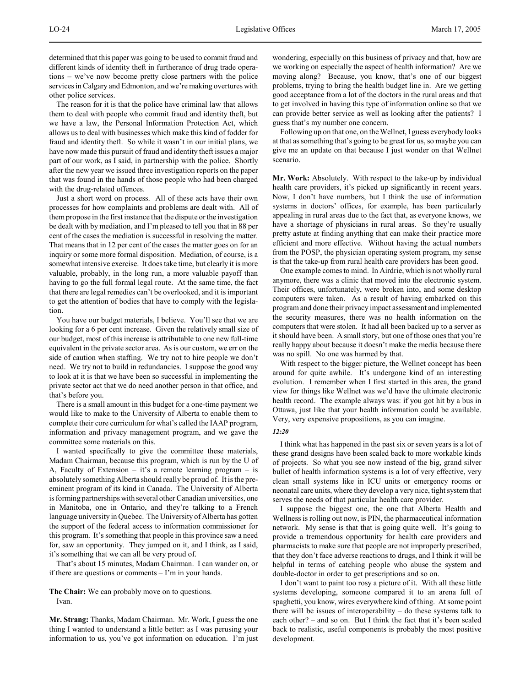determined that this paper was going to be used to commit fraud and different kinds of identity theft in furtherance of drug trade operations – we've now become pretty close partners with the police services in Calgary and Edmonton, and we're making overtures with other police services.

The reason for it is that the police have criminal law that allows them to deal with people who commit fraud and identity theft, but we have a law, the Personal Information Protection Act, which allows us to deal with businesses which make this kind of fodder for fraud and identity theft. So while it wasn't in our initial plans, we have now made this pursuit of fraud and identity theft issues a major part of our work, as I said, in partnership with the police. Shortly after the new year we issued three investigation reports on the paper that was found in the hands of those people who had been charged with the drug-related offences.

Just a short word on process. All of these acts have their own processes for how complaints and problems are dealt with. All of them propose in the first instance that the dispute or the investigation be dealt with by mediation, and I'm pleased to tell you that in 88 per cent of the cases the mediation is successful in resolving the matter. That means that in 12 per cent of the cases the matter goes on for an inquiry or some more formal disposition. Mediation, of course, is a somewhat intensive exercise. It does take time, but clearly it is more valuable, probably, in the long run, a more valuable payoff than having to go the full formal legal route. At the same time, the fact that there are legal remedies can't be overlooked, and it is important to get the attention of bodies that have to comply with the legislation.

You have our budget materials, I believe. You'll see that we are looking for a 6 per cent increase. Given the relatively small size of our budget, most of this increase is attributable to one new full-time equivalent in the private sector area. As is our custom, we err on the side of caution when staffing. We try not to hire people we don't need. We try not to build in redundancies. I suppose the good way to look at it is that we have been so successful in implementing the private sector act that we do need another person in that office, and that's before you.

There is a small amount in this budget for a one-time payment we would like to make to the University of Alberta to enable them to complete their core curriculum for what's called the IAAP program, information and privacy management program, and we gave the committee some materials on this.

I wanted specifically to give the committee these materials, Madam Chairman, because this program, which is run by the U of A, Faculty of Extension – it's a remote learning program – is absolutely something Alberta should really be proud of. It is the preeminent program of its kind in Canada. The University of Alberta is forming partnerships with several other Canadian universities, one in Manitoba, one in Ontario, and they're talking to a French language university in Quebec. The University of Alberta has gotten the support of the federal access to information commissioner for this program. It's something that people in this province saw a need for, saw an opportunity. They jumped on it, and I think, as I said, it's something that we can all be very proud of.

That's about 15 minutes, Madam Chairman. I can wander on, or if there are questions or comments  $- \Gamma$ 'm in your hands.

**The Chair:** We can probably move on to questions. Ivan.

**Mr. Strang:** Thanks, Madam Chairman. Mr. Work, I guess the one thing I wanted to understand a little better: as I was perusing your information to us, you've got information on education. I'm just wondering, especially on this business of privacy and that, how are we working on especially the aspect of health information? Are we moving along? Because, you know, that's one of our biggest problems, trying to bring the health budget line in. Are we getting good acceptance from a lot of the doctors in the rural areas and that to get involved in having this type of information online so that we can provide better service as well as looking after the patients? I guess that's my number one concern.

Following up on that one, on the Wellnet, I guess everybody looks at that as something that's going to be great for us, so maybe you can give me an update on that because I just wonder on that Wellnet scenario.

**Mr. Work:** Absolutely. With respect to the take-up by individual health care providers, it's picked up significantly in recent years. Now, I don't have numbers, but I think the use of information systems in doctors' offices, for example, has been particularly appealing in rural areas due to the fact that, as everyone knows, we have a shortage of physicians in rural areas. So they're usually pretty astute at finding anything that can make their practice more efficient and more effective. Without having the actual numbers from the POSP, the physician operating system program, my sense is that the take-up from rural health care providers has been good.

One example comes to mind. In Airdrie, which is not wholly rural anymore, there was a clinic that moved into the electronic system. Their offices, unfortunately, were broken into, and some desktop computers were taken. As a result of having embarked on this program and done their privacy impact assessment and implemented the security measures, there was no health information on the computers that were stolen. It had all been backed up to a server as it should have been. A small story, but one of those ones that you're really happy about because it doesn't make the media because there was no spill. No one was harmed by that.

With respect to the bigger picture, the Wellnet concept has been around for quite awhile. It's undergone kind of an interesting evolution. I remember when I first started in this area, the grand view for things like Wellnet was we'd have the ultimate electronic health record. The example always was: if you got hit by a bus in Ottawa, just like that your health information could be available. Very, very expensive propositions, as you can imagine.

#### *12:20*

I think what has happened in the past six or seven years is a lot of these grand designs have been scaled back to more workable kinds of projects. So what you see now instead of the big, grand silver bullet of health information systems is a lot of very effective, very clean small systems like in ICU units or emergency rooms or neonatal care units, where they develop a very nice, tight system that serves the needs of that particular health care provider.

I suppose the biggest one, the one that Alberta Health and Wellness is rolling out now, is PIN, the pharmaceutical information network. My sense is that that is going quite well. It's going to provide a tremendous opportunity for health care providers and pharmacists to make sure that people are not improperly prescribed, that they don't face adverse reactions to drugs, and I think it will be helpful in terms of catching people who abuse the system and double-doctor in order to get prescriptions and so on.

I don't want to paint too rosy a picture of it. With all these little systems developing, someone compared it to an arena full of spaghetti, you know, wires everywhere kind of thing. At some point there will be issues of interoperability – do these systems talk to each other? – and so on. But I think the fact that it's been scaled back to realistic, useful components is probably the most positive development.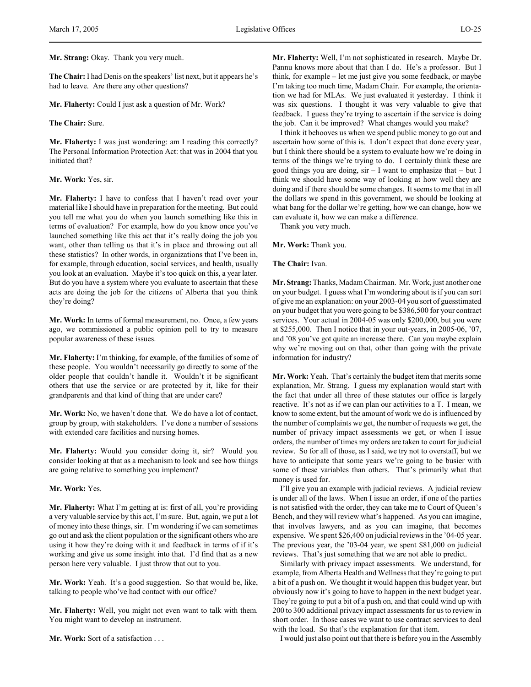**The Chair:** I had Denis on the speakers' list next, but it appears he's had to leave. Are there any other questions?

**Mr. Flaherty:** Could I just ask a question of Mr. Work?

**The Chair:** Sure.

**Mr. Flaherty:** I was just wondering: am I reading this correctly? The Personal Information Protection Act: that was in 2004 that you initiated that?

**Mr. Work:** Yes, sir.

**Mr. Flaherty:** I have to confess that I haven't read over your material like I should have in preparation for the meeting. But could you tell me what you do when you launch something like this in terms of evaluation? For example, how do you know once you've launched something like this act that it's really doing the job you want, other than telling us that it's in place and throwing out all these statistics? In other words, in organizations that I've been in, for example, through education, social services, and health, usually you look at an evaluation. Maybe it's too quick on this, a year later. But do you have a system where you evaluate to ascertain that these acts are doing the job for the citizens of Alberta that you think they're doing?

**Mr. Work:** In terms of formal measurement, no. Once, a few years ago, we commissioned a public opinion poll to try to measure popular awareness of these issues.

**Mr. Flaherty:** I'm thinking, for example, of the families of some of these people. You wouldn't necessarily go directly to some of the older people that couldn't handle it. Wouldn't it be significant others that use the service or are protected by it, like for their grandparents and that kind of thing that are under care?

**Mr. Work:** No, we haven't done that. We do have a lot of contact, group by group, with stakeholders. I've done a number of sessions with extended care facilities and nursing homes.

**Mr. Flaherty:** Would you consider doing it, sir? Would you consider looking at that as a mechanism to look and see how things are going relative to something you implement?

### **Mr. Work:** Yes.

**Mr. Flaherty:** What I'm getting at is: first of all, you're providing a very valuable service by this act, I'm sure. But, again, we put a lot of money into these things, sir. I'm wondering if we can sometimes go out and ask the client population or the significant others who are using it how they're doing with it and feedback in terms of if it's working and give us some insight into that. I'd find that as a new person here very valuable. I just throw that out to you.

**Mr. Work:** Yeah. It's a good suggestion. So that would be, like, talking to people who've had contact with our office?

**Mr. Flaherty:** Well, you might not even want to talk with them. You might want to develop an instrument.

**Mr. Work:** Sort of a satisfaction . . .

**Mr. Flaherty:** Well, I'm not sophisticated in research. Maybe Dr. Pannu knows more about that than I do. He's a professor. But I think, for example – let me just give you some feedback, or maybe I'm taking too much time, Madam Chair. For example, the orientation we had for MLAs. We just evaluated it yesterday. I think it was six questions. I thought it was very valuable to give that feedback. I guess they're trying to ascertain if the service is doing the job. Can it be improved? What changes would you make?

I think it behooves us when we spend public money to go out and ascertain how some of this is. I don't expect that done every year, but I think there should be a system to evaluate how we're doing in terms of the things we're trying to do. I certainly think these are good things you are doing, sir – I want to emphasize that – but I think we should have some way of looking at how well they are doing and if there should be some changes. It seems to me that in all the dollars we spend in this government, we should be looking at what bang for the dollar we're getting, how we can change, how we can evaluate it, how we can make a difference.

Thank you very much.

**Mr. Work:** Thank you.

**The Chair:** Ivan.

**Mr. Strang:** Thanks, Madam Chairman. Mr. Work, just another one on your budget. I guess what I'm wondering about is if you can sort of give me an explanation: on your 2003-04 you sort of guesstimated on your budget that you were going to be \$386,500 for your contract services. Your actual in 2004-05 was only \$200,000, but you were at \$255,000. Then I notice that in your out-years, in 2005-06, '07, and '08 you've got quite an increase there. Can you maybe explain why we're moving out on that, other than going with the private information for industry?

**Mr. Work:** Yeah. That's certainly the budget item that merits some explanation, Mr. Strang. I guess my explanation would start with the fact that under all three of these statutes our office is largely reactive. It's not as if we can plan our activities to a T. I mean, we know to some extent, but the amount of work we do is influenced by the number of complaints we get, the number of requests we get, the number of privacy impact assessments we get, or when I issue orders, the number of times my orders are taken to court for judicial review. So for all of those, as I said, we try not to overstaff, but we have to anticipate that some years we're going to be busier with some of these variables than others. That's primarily what that money is used for.

I'll give you an example with judicial reviews. A judicial review is under all of the laws. When I issue an order, if one of the parties is not satisfied with the order, they can take me to Court of Queen's Bench, and they will review what's happened. As you can imagine, that involves lawyers, and as you can imagine, that becomes expensive. We spent \$26,400 on judicial reviews in the '04-05 year. The previous year, the '03-04 year, we spent \$81,000 on judicial reviews. That's just something that we are not able to predict.

Similarly with privacy impact assessments. We understand, for example, from Alberta Health and Wellness that they're going to put a bit of a push on. We thought it would happen this budget year, but obviously now it's going to have to happen in the next budget year. They're going to put a bit of a push on, and that could wind up with 200 to 300 additional privacy impact assessments for us to review in short order. In those cases we want to use contract services to deal with the load. So that's the explanation for that item.

I would just also point out that there is before you in the Assembly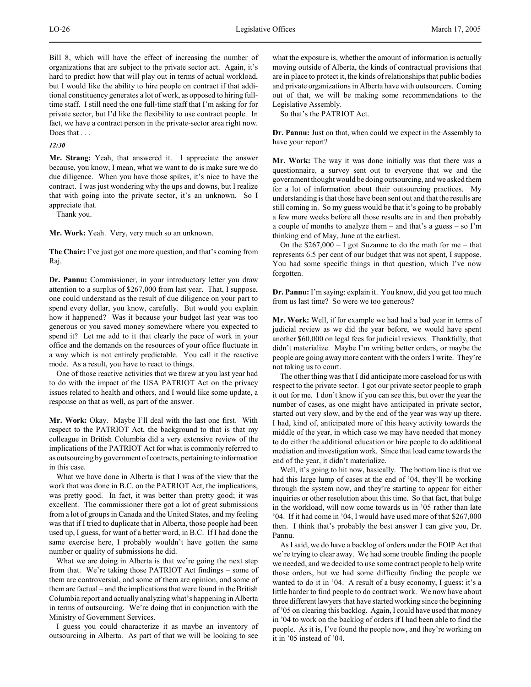Bill 8, which will have the effect of increasing the number of organizations that are subject to the private sector act. Again, it's hard to predict how that will play out in terms of actual workload, but I would like the ability to hire people on contract if that additional constituency generates a lot of work, as opposed to hiring fulltime staff. I still need the one full-time staff that I'm asking for for private sector, but I'd like the flexibility to use contract people. In fact, we have a contract person in the private-sector area right now. Does that . . .

## *12:30*

**Mr. Strang:** Yeah, that answered it. I appreciate the answer because, you know, I mean, what we want to do is make sure we do due diligence. When you have those spikes, it's nice to have the contract. I was just wondering why the ups and downs, but I realize that with going into the private sector, it's an unknown. So I appreciate that.

Thank you.

**Mr. Work:** Yeah. Very, very much so an unknown.

**The Chair:** I've just got one more question, and that's coming from Raj.

**Dr. Pannu:** Commissioner, in your introductory letter you draw attention to a surplus of \$267,000 from last year. That, I suppose, one could understand as the result of due diligence on your part to spend every dollar, you know, carefully. But would you explain how it happened? Was it because your budget last year was too generous or you saved money somewhere where you expected to spend it? Let me add to it that clearly the pace of work in your office and the demands on the resources of your office fluctuate in a way which is not entirely predictable. You call it the reactive mode. As a result, you have to react to things.

One of those reactive activities that we threw at you last year had to do with the impact of the USA PATRIOT Act on the privacy issues related to health and others, and I would like some update, a response on that as well, as part of the answer.

**Mr. Work:** Okay. Maybe I'll deal with the last one first. With respect to the PATRIOT Act, the background to that is that my colleague in British Columbia did a very extensive review of the implications of the PATRIOT Act for what is commonly referred to as outsourcing by government of contracts, pertaining to information in this case.

What we have done in Alberta is that I was of the view that the work that was done in B.C. on the PATRIOT Act, the implications, was pretty good. In fact, it was better than pretty good; it was excellent. The commissioner there got a lot of great submissions from a lot of groups in Canada and the United States, and my feeling was that if I tried to duplicate that in Alberta, those people had been used up, I guess, for want of a better word, in B.C. If I had done the same exercise here, I probably wouldn't have gotten the same number or quality of submissions he did.

What we are doing in Alberta is that we're going the next step from that. We're taking those PATRIOT Act findings – some of them are controversial, and some of them are opinion, and some of them are factual – and the implications that were found in the British Columbia report and actually analyzing what's happening in Alberta in terms of outsourcing. We're doing that in conjunction with the Ministry of Government Services.

I guess you could characterize it as maybe an inventory of outsourcing in Alberta. As part of that we will be looking to see

what the exposure is, whether the amount of information is actually moving outside of Alberta, the kinds of contractual provisions that are in place to protect it, the kinds of relationships that public bodies and private organizations in Alberta have with outsourcers. Coming out of that, we will be making some recommendations to the Legislative Assembly.

So that's the PATRIOT Act.

**Dr. Pannu:** Just on that, when could we expect in the Assembly to have your report?

**Mr. Work:** The way it was done initially was that there was a questionnaire, a survey sent out to everyone that we and the government thought would be doing outsourcing, and we asked them for a lot of information about their outsourcing practices. My understanding is that those have been sent out and that the results are still coming in. So my guess would be that it's going to be probably a few more weeks before all those results are in and then probably a couple of months to analyze them – and that's a guess – so I'm thinking end of May, June at the earliest.

On the  $$267,000 - 1$  got Suzanne to do the math for me – that represents 6.5 per cent of our budget that was not spent, I suppose. You had some specific things in that question, which I've now forgotten.

**Dr. Pannu:** I'm saying: explain it. You know, did you get too much from us last time? So were we too generous?

**Mr. Work:** Well, if for example we had had a bad year in terms of judicial review as we did the year before, we would have spent another \$60,000 on legal fees for judicial reviews. Thankfully, that didn't materialize. Maybe I'm writing better orders, or maybe the people are going away more content with the orders I write. They're not taking us to court.

The other thing was that I did anticipate more caseload for us with respect to the private sector. I got our private sector people to graph it out for me. I don't know if you can see this, but over the year the number of cases, as one might have anticipated in private sector, started out very slow, and by the end of the year was way up there. I had, kind of, anticipated more of this heavy activity towards the middle of the year, in which case we may have needed that money to do either the additional education or hire people to do additional mediation and investigation work. Since that load came towards the end of the year, it didn't materialize.

Well, it's going to hit now, basically. The bottom line is that we had this large lump of cases at the end of '04, they'll be working through the system now, and they're starting to appear for either inquiries or other resolution about this time. So that fact, that bulge in the workload, will now come towards us in '05 rather than late '04. If it had come in '04, I would have used more of that \$267,000 then. I think that's probably the best answer I can give you, Dr. Pannu.

As I said, we do have a backlog of orders under the FOIP Act that we're trying to clear away. We had some trouble finding the people we needed, and we decided to use some contract people to help write those orders, but we had some difficulty finding the people we wanted to do it in '04. A result of a busy economy, I guess: it's a little harder to find people to do contract work. We now have about three different lawyers that have started working since the beginning of '05 on clearing this backlog. Again, I could have used that money in '04 to work on the backlog of orders if I had been able to find the people. As it is, I've found the people now, and they're working on it in '05 instead of '04.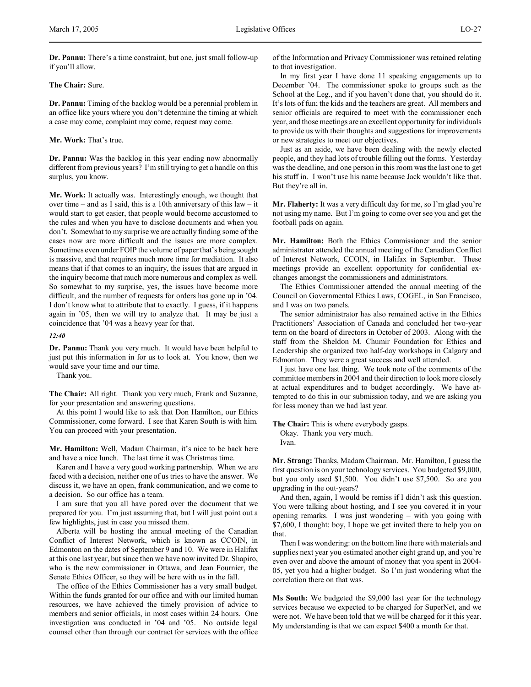**Dr. Pannu:** There's a time constraint, but one, just small follow-up if you'll allow.

# **The Chair:** Sure.

**Dr. Pannu:** Timing of the backlog would be a perennial problem in an office like yours where you don't determine the timing at which a case may come, complaint may come, request may come.

### **Mr. Work:** That's true.

**Dr. Pannu:** Was the backlog in this year ending now abnormally different from previous years? I'm still trying to get a handle on this surplus, you know.

**Mr. Work:** It actually was. Interestingly enough, we thought that over time – and as I said, this is a 10th anniversary of this law – it would start to get easier, that people would become accustomed to the rules and when you have to disclose documents and when you don't. Somewhat to my surprise we are actually finding some of the cases now are more difficult and the issues are more complex. Sometimes even under FOIP the volume of paper that's being sought is massive, and that requires much more time for mediation. It also means that if that comes to an inquiry, the issues that are argued in the inquiry become that much more numerous and complex as well. So somewhat to my surprise, yes, the issues have become more difficult, and the number of requests for orders has gone up in '04. I don't know what to attribute that to exactly. I guess, if it happens again in '05, then we will try to analyze that. It may be just a coincidence that '04 was a heavy year for that.

*12:40*

**Dr. Pannu:** Thank you very much. It would have been helpful to just put this information in for us to look at. You know, then we would save your time and our time.

Thank you.

**The Chair:** All right. Thank you very much, Frank and Suzanne, for your presentation and answering questions.

At this point I would like to ask that Don Hamilton, our Ethics Commissioner, come forward. I see that Karen South is with him. You can proceed with your presentation.

**Mr. Hamilton:** Well, Madam Chairman, it's nice to be back here and have a nice lunch. The last time it was Christmas time.

Karen and I have a very good working partnership. When we are faced with a decision, neither one of us tries to have the answer. We discuss it, we have an open, frank communication, and we come to a decision. So our office has a team.

I am sure that you all have pored over the document that we prepared for you. I'm just assuming that, but I will just point out a few highlights, just in case you missed them.

Alberta will be hosting the annual meeting of the Canadian Conflict of Interest Network, which is known as CCOIN, in Edmonton on the dates of September 9 and 10. We were in Halifax at this one last year, but since then we have now invited Dr. Shapiro, who is the new commissioner in Ottawa, and Jean Fournier, the Senate Ethics Officer, so they will be here with us in the fall.

The office of the Ethics Commissioner has a very small budget. Within the funds granted for our office and with our limited human resources, we have achieved the timely provision of advice to members and senior officials, in most cases within 24 hours. One investigation was conducted in '04 and '05. No outside legal counsel other than through our contract for services with the office

of the Information and Privacy Commissioner was retained relating to that investigation.

In my first year I have done 11 speaking engagements up to December '04. The commissioner spoke to groups such as the School at the Leg., and if you haven't done that, you should do it. It's lots of fun; the kids and the teachers are great. All members and senior officials are required to meet with the commissioner each year, and those meetings are an excellent opportunity for individuals to provide us with their thoughts and suggestions for improvements or new strategies to meet our objectives.

Just as an aside, we have been dealing with the newly elected people, and they had lots of trouble filling out the forms. Yesterday was the deadline, and one person in this room was the last one to get his stuff in. I won't use his name because Jack wouldn't like that. But they're all in.

**Mr. Flaherty:** It was a very difficult day for me, so I'm glad you're not using my name. But I'm going to come over see you and get the football pads on again.

**Mr. Hamilton:** Both the Ethics Commissioner and the senior administrator attended the annual meeting of the Canadian Conflict of Interest Network, CCOIN, in Halifax in September. These meetings provide an excellent opportunity for confidential exchanges amongst the commissioners and administrators.

The Ethics Commissioner attended the annual meeting of the Council on Governmental Ethics Laws, COGEL, in San Francisco, and I was on two panels.

The senior administrator has also remained active in the Ethics Practitioners' Association of Canada and concluded her two-year term on the board of directors in October of 2003. Along with the staff from the Sheldon M. Chumir Foundation for Ethics and Leadership she organized two half-day workshops in Calgary and Edmonton. They were a great success and well attended.

I just have one last thing. We took note of the comments of the committee members in 2004 and their direction to look more closely at actual expenditures and to budget accordingly. We have attempted to do this in our submission today, and we are asking you for less money than we had last year.

**The Chair:** This is where everybody gasps.

Okay. Thank you very much. Ivan.

**Mr. Strang:** Thanks, Madam Chairman. Mr. Hamilton, I guess the first question is on your technology services. You budgeted \$9,000, but you only used \$1,500. You didn't use \$7,500. So are you upgrading in the out-years?

And then, again, I would be remiss if I didn't ask this question. You were talking about hosting, and I see you covered it in your opening remarks. I was just wondering – with you going with \$7,600, I thought: boy, I hope we get invited there to help you on that.

Then I was wondering: on the bottom line there with materials and supplies next year you estimated another eight grand up, and you're even over and above the amount of money that you spent in 2004- 05, yet you had a higher budget. So I'm just wondering what the correlation there on that was.

**Ms South:** We budgeted the \$9,000 last year for the technology services because we expected to be charged for SuperNet, and we were not. We have been told that we will be charged for it this year. My understanding is that we can expect \$400 a month for that.